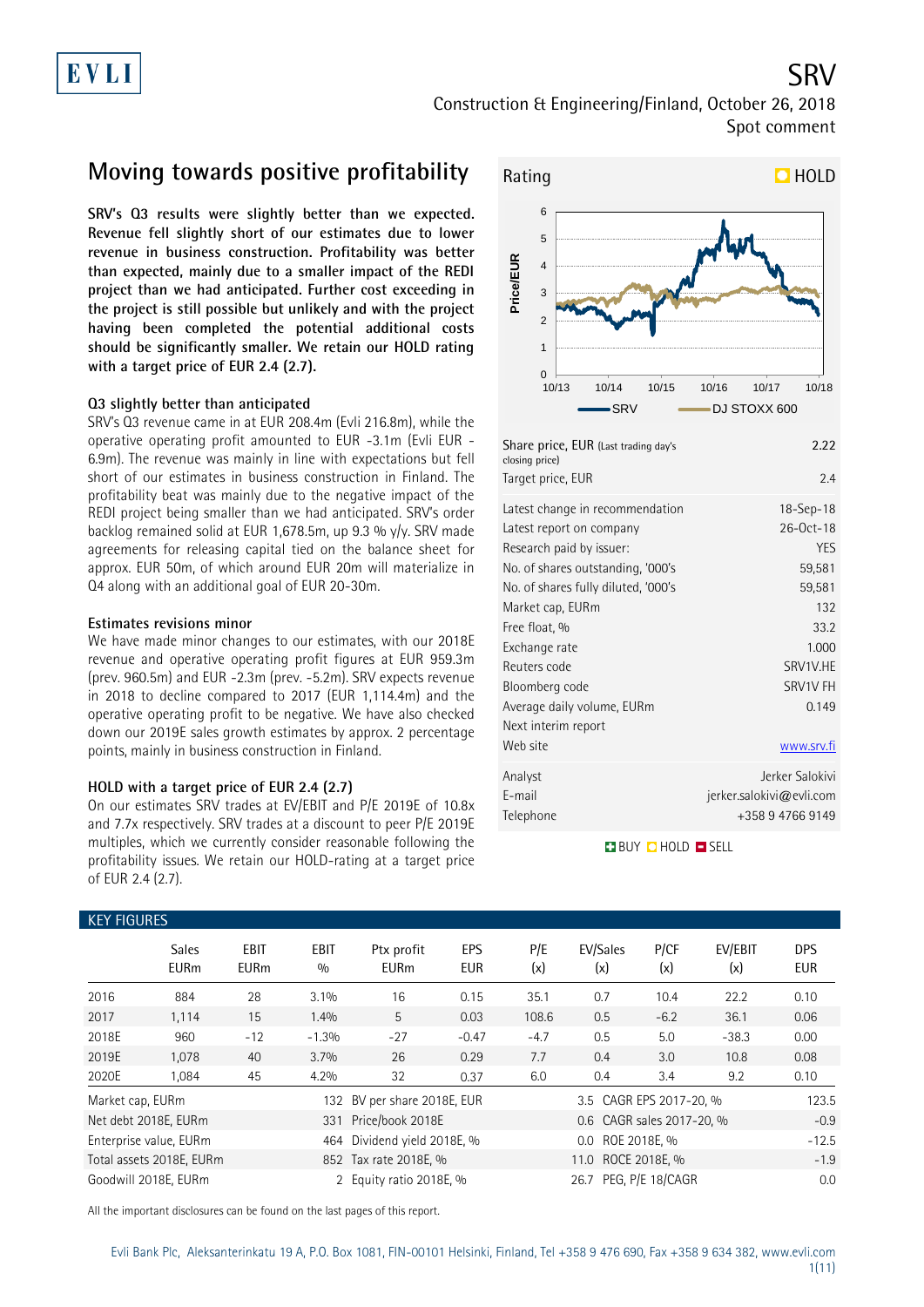### SRV Construction & Engineering/Finland, October 26, 2018 Spot comment

## **Moving towards positive profitability**

**SRV's Q3 results were slightly better than we expected. Revenue fell slightly short of our estimates due to lower revenue in business construction. Profitability was better than expected, mainly due to a smaller impact of the REDI project than we had anticipated. Further cost exceeding in the project is still possible but unlikely and with the project having been completed the potential additional costs should be significantly smaller. We retain our HOLD rating with a target price of EUR 2.4 (2.7).**

### **Q3 slightly better than anticipated**

SRV's Q3 revenue came in at EUR 208.4m (Evli 216.8m), while the operative operating profit amounted to EUR -3.1m (Evli EUR - 6.9m). The revenue was mainly in line with expectations but fell short of our estimates in business construction in Finland. The profitability beat was mainly due to the negative impact of the REDI project being smaller than we had anticipated. SRV's order backlog remained solid at EUR 1,678.5m, up 9.3 % y/y. SRV made agreements for releasing capital tied on the balance sheet for approx. EUR 50m, of which around EUR 20m will materialize in Q4 along with an additional goal of EUR 20-30m.

### **Estimates revisions minor**

We have made minor changes to our estimates, with our 2018E revenue and operative operating profit figures at EUR 959.3m (prev. 960.5m) and EUR -2.3m (prev. -5.2m). SRV expects revenue in 2018 to decline compared to 2017 (EUR 1,114.4m) and the operative operating profit to be negative. We have also checked down our 2019E sales growth estimates by approx. 2 percentage points, mainly in business construction in Finland.

### **HOLD with a target price of EUR 2.4 (2.7)**

On our estimates SRV trades at EV/EBIT and P/E 2019E of 10.8x and 7.7x respectively. SRV trades at a discount to peer P/E 2019E multiples, which we currently consider reasonable following the profitability issues. We retain our HOLD-rating at a target price of EUR 2.4 (2.7).



| Target price, EUR                   | 2.4                      |
|-------------------------------------|--------------------------|
| Latest change in recommendation     | $18 - Sep - 18$          |
| Latest report on company            | 26-Oct-18                |
| Research paid by issuer:            | <b>YES</b>               |
| No. of shares outstanding, '000's   | 59,581                   |
| No. of shares fully diluted, '000's | 59,581                   |
| Market cap, EURm                    | 132                      |
| Free float, %                       | 33.2                     |
| Exchange rate                       | 1.000                    |
| Reuters code                        | SRV1V.HE                 |
| Bloomberg code                      | SRV1V FH                 |
| Average daily volume, EURm          | 0.149                    |
| Next interim report                 |                          |
| Web site                            | www.srv.fi               |
| Analyst                             | Jerker Salokivi          |
| E-mail                              | jerker.salokivi@evli.com |
| Telephone                           | +358 9 4766 9149         |

**BUY QHOLD SELL** 

| <b>KEY FIGURES</b> |                             |                     |                    |                           |                          |            |                           |               |                |                          |  |
|--------------------|-----------------------------|---------------------|--------------------|---------------------------|--------------------------|------------|---------------------------|---------------|----------------|--------------------------|--|
|                    | <b>Sales</b><br><b>EURm</b> | EBIT<br><b>EURm</b> | <b>EBIT</b><br>0/0 | Ptx profit<br><b>EURm</b> | <b>EPS</b><br><b>EUR</b> | P/E<br>(x) | EV/Sales<br>(x)           | P/CF<br>(x)   | EV/EBIT<br>(x) | <b>DPS</b><br><b>EUR</b> |  |
| 2016               | 884                         | 28                  | 3.1%               | 16                        | 0.15                     | 35.1       | 0.7                       | 10.4          | 22.2           | 0.10                     |  |
| 2017               | 1,114                       | 15                  | 1.4%               | 5                         | 0.03                     | 108.6      | 0.5                       | $-6.2$        | 36.1           | 0.06                     |  |
| 2018E              | 960                         | $-12$               | $-1.3%$            | $-27$                     | $-0.47$                  | $-4.7$     | 0.5                       | 5.0           | $-38.3$        | 0.00                     |  |
| 2019E              | 1,078                       | 40                  | 3.7%               | 26                        | 0.29                     | 7.7        | 0.4                       | 3.0           | 10.8           | 0.08                     |  |
| 2020E              | 1,084                       | 45                  | 4.2%               | 32                        | 0.37                     | 6.0        | 0.4                       | 3.4           | 9.2            | 0.10                     |  |
| Market cap, EURm   |                             |                     | 132                | BV per share 2018E, EUR   |                          |            | 3.5 CAGR EPS 2017-20, %   |               |                | 123.5                    |  |
|                    | Net debt 2018E, EURm        |                     | 331                | Price/book 2018E          |                          |            | 0.6 CAGR sales 2017-20, % |               |                |                          |  |
|                    | Enterprise value, EURm      |                     | 464                | Dividend yield 2018E, %   |                          |            | 0.0 ROE 2018E, %          |               |                | $-12.5$                  |  |
|                    | Total assets 2018E, EURm    |                     |                    | 852 Tax rate 2018E, %     |                          |            | 11.0                      | ROCE 2018E. % |                | $-1.9$                   |  |
|                    | Goodwill 2018E, EURm        |                     |                    | 2 Equity ratio 2018E, %   |                          |            | 26.7 PEG, P/E 18/CAGR     |               |                | 0.0                      |  |

All the important disclosures can be found on the last pages of this report.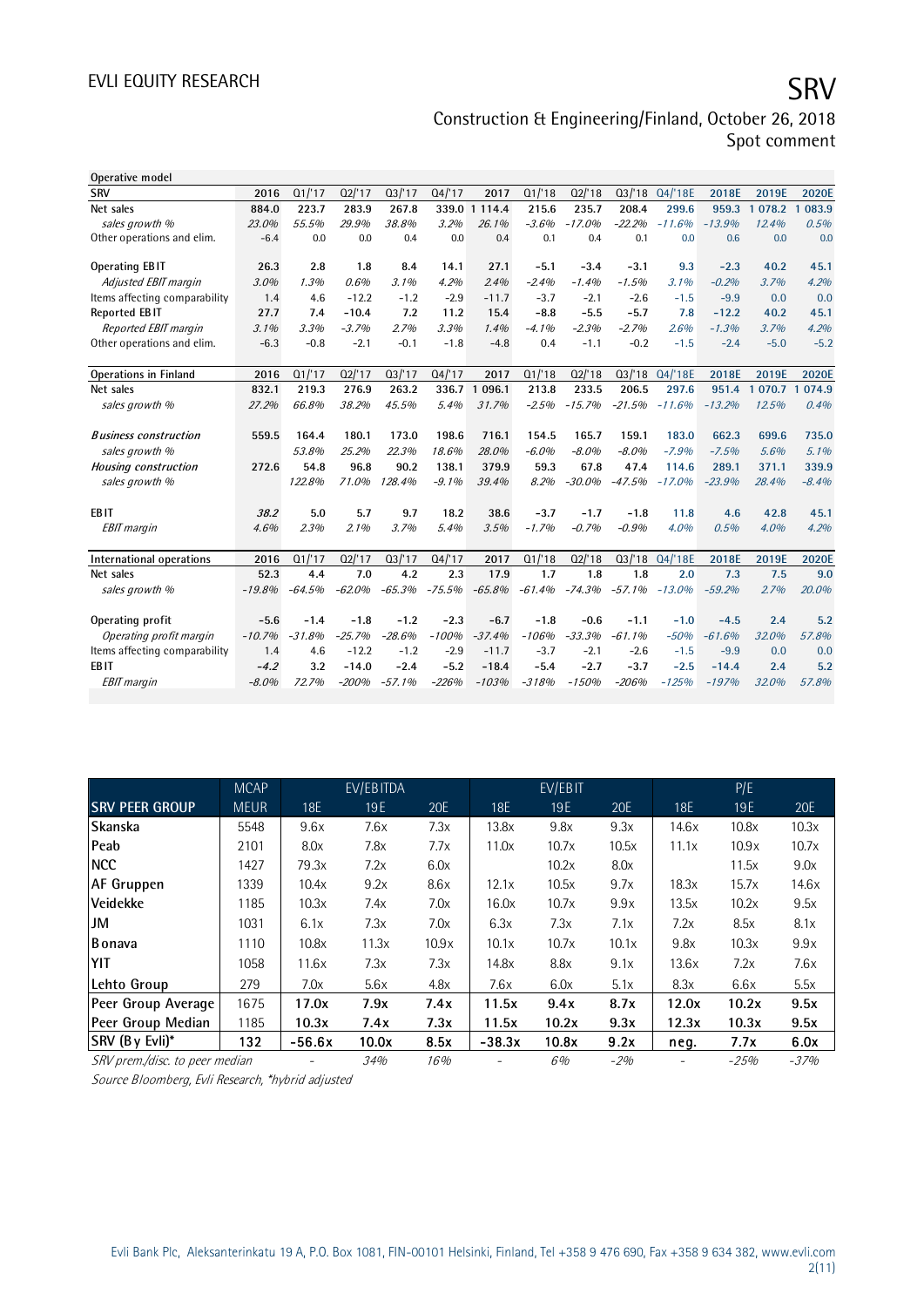## EVLI EQUITY RESEARCH SRV Construction & Engineering/Finland, October 26, 2018 Spot comment

| Operative model               |          |          |          |          |          |                       |          |          |          |          |          |           |            |
|-------------------------------|----------|----------|----------|----------|----------|-----------------------|----------|----------|----------|----------|----------|-----------|------------|
| <b>SRV</b>                    | 2016     | Q1/17    | Q2/17    | Q3/17    | Q4/17    | 2017                  | Q1/18    | Q2'18    | Q3/18    | Q4/'18E  | 2018E    | 2019E     | 2020E      |
| Net sales                     | 884.0    | 223.7    | 283.9    | 267.8    |          | 339.0 1 114.4         | 215.6    | 235.7    | 208.4    | 299.6    | 959.3    | 1 0 78.2  | 083.9<br>1 |
| sales growth %                | 23.0%    | 55.5%    | 29.9%    | 38.8%    | 3.2%     | 26.1%                 | $-3.6%$  | $-17.0%$ | $-22.2%$ | $-11.6%$ | $-13.9%$ | 12.4%     | 0.5%       |
| Other operations and elim.    | $-6.4$   | 0.0      | 0.0      | 0.4      | 0.0      | 0.4                   | 0.1      | 0.4      | 0.1      | 0.0      | 0.6      | 0.0       | 0.0        |
|                               |          |          |          |          |          |                       |          |          |          |          |          |           |            |
| <b>Operating EBIT</b>         | 26.3     | 2.8      | 1.8      | 8.4      | 14.1     | 27.1                  | $-5.1$   | $-3.4$   | $-3.1$   | 9.3      | $-2.3$   | 40.2      | 45.1       |
| Adjusted EBIT margin          | 3.0%     | 1.3%     | 0.6%     | 3.1%     | 4.2%     | 2.4%                  | $-2.4%$  | $-1.4%$  | $-1.5%$  | 3.1%     | $-0.2%$  | 3.7%      | 4.2%       |
| Items affecting comparability | 1.4      | 4.6      | $-12.2$  | $-1.2$   | $-2.9$   | $-11.7$               | $-3.7$   | $-2.1$   | $-2.6$   | $-1.5$   | $-9.9$   | 0.0       | 0.0        |
| <b>Reported EBIT</b>          | 27.7     | 7.4      | $-10.4$  | 7.2      | 11.2     | 15.4                  | $-8.8$   | $-5.5$   | $-5.7$   | 7.8      | $-12.2$  | 40.2      | 45.1       |
| Reported EBIT margin          | 3.1%     | 3.3%     | $-3.7%$  | 2.7%     | 3.3%     | 1.4%                  | $-4.1%$  | $-2.3%$  | $-2.7%$  | 2.6%     | $-1.3%$  | 3.7%      | 4.2%       |
| Other operations and elim.    | $-6.3$   | $-0.8$   | $-2.1$   | $-0.1$   | $-1.8$   | $-4.8$                | 0.4      | $-1.1$   | $-0.2$   | $-1.5$   | $-2.4$   | $-5.0$    | $-5.2$     |
|                               |          |          |          |          |          |                       |          |          |          |          |          |           |            |
| <b>Operations in Finland</b>  | 2016     | Q1/17    | Q2/17    | Q3/17    | Q4/17    | 2017                  | Q1/18    | Q2/18    | Q3/18    | Q4/'18E  | 2018E    | 2019E     | 2020E      |
| Net sales                     | 832.1    | 219.3    | 276.9    | 263.2    | 336.7    | 096.1<br>$\mathbf{1}$ | 213.8    | 233.5    | 206.5    | 297.6    | 951.4    | 1 070.7 1 | 074.9      |
| sales growth %                | 27.2%    | 66.8%    | 38.2%    | 45.5%    | 5.4%     | 31.7%                 | $-2.5%$  | $-15.7%$ | $-21.5%$ | $-11.6%$ | $-13.2%$ | 12.5%     | 0.4%       |
|                               |          |          |          |          |          |                       |          |          |          |          |          |           |            |
| <b>Business construction</b>  | 559.5    | 164.4    | 180.1    | 173.0    | 198.6    | 716.1                 | 154.5    | 165.7    | 159.1    | 183.0    | 662.3    | 699.6     | 735.0      |
| sales growth %                |          | 53.8%    | 25.2%    | 22.3%    | 18.6%    | 28.0%                 | $-6.0%$  | $-8.0%$  | $-8.0%$  | $-7.9%$  | $-7.5%$  | 5.6%      | 5.1%       |
| Housing construction          | 272.6    | 54.8     | 96.8     | 90.2     | 138.1    | 379.9                 | 59.3     | 67.8     | 47.4     | 114.6    | 289.1    | 371.1     | 339.9      |
| sales growth %                |          | 122.8%   | 71.0%    | 128.4%   | $-9.1%$  | 39.4%                 | 8.2%     | $-30.0%$ | $-47.5%$ | $-17.0%$ | $-23.9%$ | 28.4%     | $-8.4%$    |
|                               |          |          |          |          |          |                       |          |          |          |          |          |           |            |
| EB <sub>IT</sub>              | 38.2     | 5.0      | 5.7      | 9.7      | 18.2     | 38.6                  | $-3.7$   | $-1.7$   | $-1.8$   | 11.8     | 4.6      | 42.8      | 45.1       |
| <b>EBIT</b> margin            | 4.6%     | 2.3%     | 2.1%     | 3.7%     | 5.4%     | 3.5%                  | $-1.7%$  | $-0.7%$  | $-0.9%$  | 4.0%     | 0.5%     | 4.0%      | 4.2%       |
|                               |          |          |          |          |          |                       |          |          |          |          |          |           |            |
| International operations      | 2016     | Q1/17    | Q2/17    | Q3/17    | 04/17    | 2017                  | Q1/18    | Q2/18    | Q3/18    | Q4/18E   | 2018E    | 2019E     | 2020E      |
| Net sales                     | 52.3     | 4.4      | 7.0      | 4.2      | 2.3      | 17.9                  | 1.7      | 1.8      | 1.8      | 2.0      | 7.3      | 7.5       | 9.0        |
| sales growth %                | $-19.8%$ | $-64.5%$ | $-62.0%$ | $-65.3%$ | $-75.5%$ | $-65.8%$              | $-61.4%$ | $-74.3%$ | $-57.1%$ | $-13.0%$ | $-59.2%$ | 2.7%      | 20.0%      |
|                               |          |          |          |          |          |                       |          |          |          |          |          |           |            |
| Operating profit              | $-5.6$   | $-1.4$   | $-1.8$   | $-1.2$   | $-2.3$   | $-6.7$                | $-1.8$   | $-0.6$   | $-1.1$   | $-1.0$   | $-4.5$   | 2.4       | 5.2        |
| Operating profit margin       | $-10.7%$ | $-31.8%$ | $-25.7%$ | $-28.6%$ | $-100%$  | $-37.4%$              | $-106%$  | $-33.3%$ | $-61.1%$ | $-50%$   | $-61.6%$ | 32.0%     | 57.8%      |
| Items affecting comparability | 1.4      | 4.6      | $-12.2$  | $-1.2$   | $-2.9$   | $-11.7$               | $-3.7$   | $-2.1$   | $-2.6$   | $-1.5$   | $-9.9$   | 0.0       | 0.0        |
| <b>EBIT</b>                   | $-4.2$   | 3.2      | $-14.0$  | $-2.4$   | $-5.2$   | $-18.4$               | $-5.4$   | $-2.7$   | $-3.7$   | $-2.5$   | $-14.4$  | 2.4       | 5.2        |
| <b>EBIT</b> margin            | $-8.0%$  | 72.7%    | $-200%$  | $-57.1%$ | $-226%$  | $-103%$               | $-318%$  | $-150%$  | $-206%$  | $-125%$  | $-197%$  | 32.0%     | 57.8%      |
|                               |          |          |          |          |          |                       |          |          |          |          |          |           |            |

|                                                   | <b>MCAP</b> |          | EV/EBITDA |       | EV/EBIT  |       |       |       | P/E    |        |  |
|---------------------------------------------------|-------------|----------|-----------|-------|----------|-------|-------|-------|--------|--------|--|
| <b>SRV PEER GROUP</b>                             | <b>MEUR</b> | 18E      | 19E       | 20E   | 18E      | 19E   | 20E   | 18E   | 19E    | 20E    |  |
| Skanska                                           | 5548        | 9.6x     | 7.6x      | 7.3x  | 13.8x    | 9.8x  | 9.3x  | 14.6x | 10.8x  | 10.3x  |  |
| <b>Peab</b>                                       | 2101        | 8.0x     | 7.8x      | 7.7x  | 11.0x    | 10.7x | 10.5x | 11.1x | 10.9x  | 10.7x  |  |
| <b>NCC</b>                                        | 1427        | 79.3x    | 7.2x      | 6.0x  |          | 10.2x | 8.0x  |       | 11.5x  | 9.0x   |  |
| <b>AF Gruppen</b>                                 | 1339        | 10.4x    | 9.2x      | 8.6x  | 12.1x    | 10.5x | 9.7x  | 18.3x | 15.7x  | 14.6x  |  |
| Veidekke                                          | 1185        | 10.3x    | 7.4x      | 7.0x  | 16.0x    | 10.7x | 9.9x  | 13.5x | 10.2x  | 9.5x   |  |
| JM                                                | 1031        | 6.1x     | 7.3x      | 7.0x  | 6.3x     | 7.3x  | 7.1x  | 7.2x  | 8.5x   | 8.1x   |  |
| Bonava                                            | 1110        | 10.8x    | 11.3x     | 10.9x | 10.1x    | 10.7x | 10.1x | 9.8x  | 10.3x  | 9.9x   |  |
| YIT                                               | 1058        | 11.6x    | 7.3x      | 7.3x  | 14.8x    | 8.8x  | 9.1x  | 13.6x | 7.2x   | 7.6x   |  |
| Lehto Group                                       | 279         | 7.0x     | 5.6x      | 4.8x  | 7.6x     | 6.0x  | 5.1x  | 8.3x  | 6.6x   | 5.5x   |  |
| Peer Group Average                                | 1675        | 17.0x    | 7.9x      | 7.4x  | 11.5x    | 9.4x  | 8.7x  | 12.0x | 10.2x  | 9.5x   |  |
| Peer Group Median                                 | 1185        | 10.3x    | 7.4x      | 7.3x  | 11.5x    | 10.2x | 9.3x  | 12.3x | 10.3x  | 9.5x   |  |
| SRV (By Evli)*                                    | 132         | $-56.6x$ | 10.0x     | 8.5x  | $-38.3x$ | 10.8x | 9.2x  | neg.  | 7.7x   | 6.0x   |  |
| SRV prem./disc. to peer median                    |             |          | 34%       | 16%   |          | 6%    | $-2%$ | -     | $-25%$ | $-37%$ |  |
| Source Bloomberg, Evli Research, *hybrid adjusted |             |          |           |       |          |       |       |       |        |        |  |

Source Bloomberg, Evli Research, \*hybrid adjusted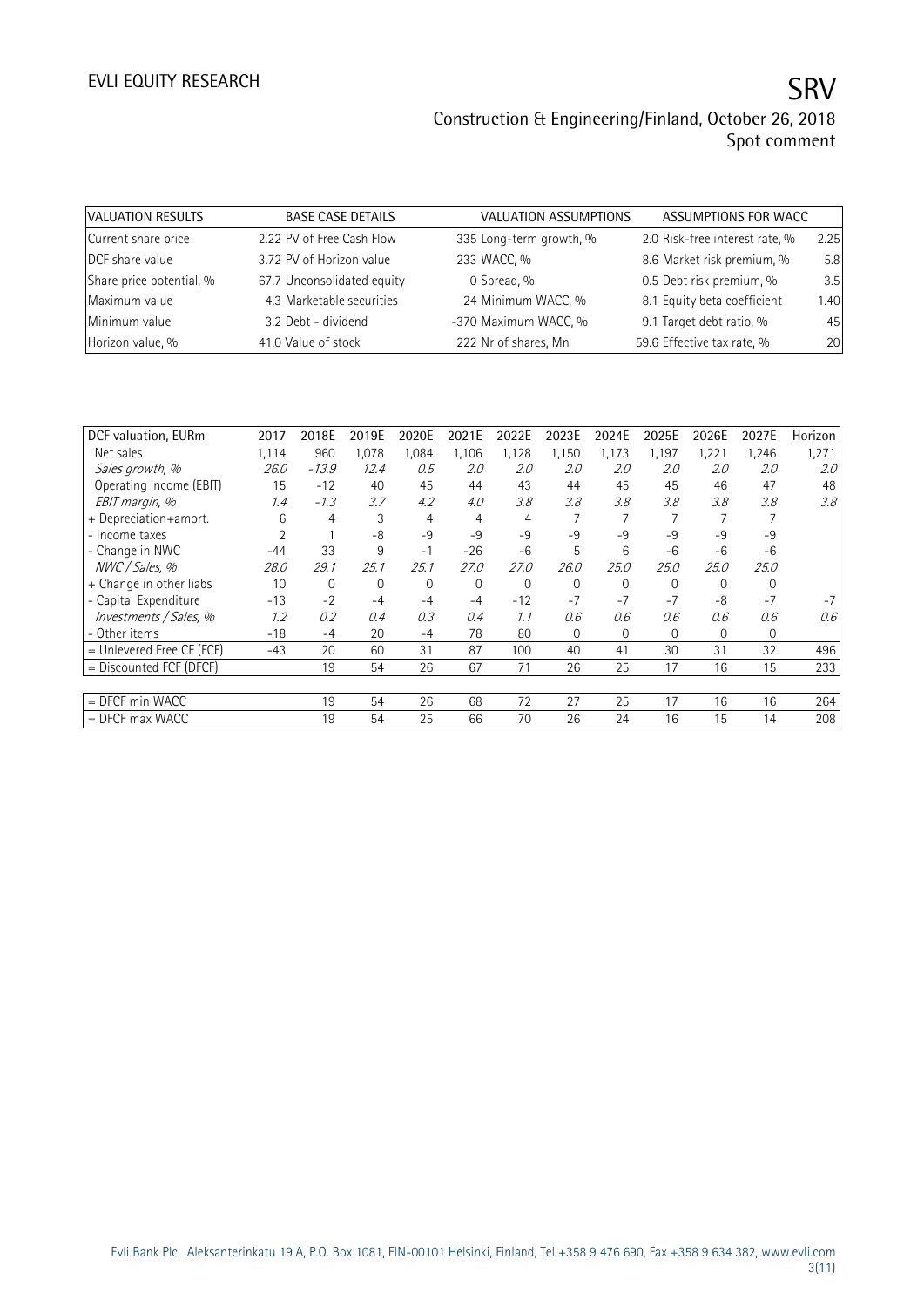| VALUATION RESULTS        | <b>BASE CASE DETAILS</b>   | VALUATION ASSUMPTIONS   | ASSUMPTIONS FOR WACC           |      |
|--------------------------|----------------------------|-------------------------|--------------------------------|------|
| Current share price      | 2.22 PV of Free Cash Flow  | 335 Long-term growth, % | 2.0 Risk-free interest rate, % | 2.25 |
| DCF share value          | 3.72 PV of Horizon value   | 233 WACC, %             | 8.6 Market risk premium, %     | 5.8  |
| Share price potential, % | 67.7 Unconsolidated equity | 0 Spread, %             | 0.5 Debt risk premium, %       | 3.5  |
| Maximum value            | 4.3 Marketable securities  | 24 Minimum WACC, %      | 8.1 Equity beta coefficient    | 1.40 |
| Minimum value            | 3.2 Debt - dividend        | -370 Maximum WACC, %    | 9.1 Target debt ratio, %       | 45   |
| Horizon value, %         | 41.0 Value of stock        | 222 Nr of shares, Mn    | 59.6 Effective tax rate, %     | 20   |

| DCF valuation, EURm         | 2017  | 2018E   | 2019E    | 2020E | 2021E    | 2022E    | 2023E    | 2024E        | 2025E    | 2026E    | 2027E    | Horizon |
|-----------------------------|-------|---------|----------|-------|----------|----------|----------|--------------|----------|----------|----------|---------|
| Net sales                   | 1,114 | 960     | 1,078    | 1,084 | 1,106    | 1,128    | 1,150    | 1,173        | 1,197    | 1,221    | 1,246    | 1,271   |
| Sales growth, %             | 26.0  | $-13.9$ | 12.4     | 0.5   | 2.0      | 2.0      | 2.0      | 2.0          | 2.0      | 2.0      | 2.0      | 2.0     |
| Operating income (EBIT)     | 15    | $-12$   | 40       | 45    | 44       | 43       | 44       | 45           | 45       | 46       | 47       | 48      |
| EBIT margin, %              | 1.4   | $-1.3$  | 3.7      | 4.2   | 4.0      | 3.8      | 3.8      | 3.8          | 3.8      | 3.8      | 3.8      | 3.8     |
| + Depreciation+amort.       | 6     | 4       | 3        | 4     | 4        | 4        |          |              |          |          |          |         |
| - Income taxes              |       |         | -8       | $-9$  | $-9$     | $-9$     | -9       | $-9$         | $-9$     | $-9$     | -9       |         |
| - Change in NWC             | $-44$ | 33      | 9        | $-1$  | $-26$    | $-6$     | 5        | 6            | -6       | $-6$     | $-6$     |         |
| NWC / Sales, %              | 28.0  | 29.1    | 25.1     | 25.1  | 27.0     | 27.0     | 26.0     | 25.0         | 25.0     | 25.0     | 25.0     |         |
| + Change in other liabs     | 10    | 0       | $\Omega$ | 0     | $\Omega$ | $\Omega$ | $\Omega$ | $\Omega$     | $\Omega$ | $\Omega$ | $\Omega$ |         |
| - Capital Expenditure       | $-13$ | $-2$    | $-4$     | $-4$  | $-4$     | $-12$    | $-7$     | $-7$         | $-7$     | -8       | $-7$     |         |
| Investments / Sales, %      | 1.2   | 0.2     | 0.4      | 0.3   | 0.4      | 1.1      | 0.6      | 0.6          | 0.6      | 0.6      | 0.6      | 0.6     |
| - Other items               | $-18$ | $-4$    | 20       | $-4$  | 78       | 80       | 0        | $\mathbf{0}$ | 0        | 0        | 0        |         |
| $=$ Unlevered Free CF (FCF) | $-43$ | 20      | 60       | 31    | 87       | 100      | 40       | 41           | 30       | 31       | 32       | 496     |
| = Discounted FCF (DFCF)     |       | 19      | 54       | 26    | 67       | 71       | 26       | 25           | 17       | 16       | 15       | 233     |
|                             |       |         |          |       |          |          |          |              |          |          |          |         |
| $=$ DFCF min WACC           |       | 19      | 54       | 26    | 68       | 72       | 27       | 25           | 17       | 16       | 16       | 264     |
| $=$ DFCF max WACC           |       | 19      | 54       | 25    | 66       | 70       | 26       | 24           | 16       | 15       | 14       | 208     |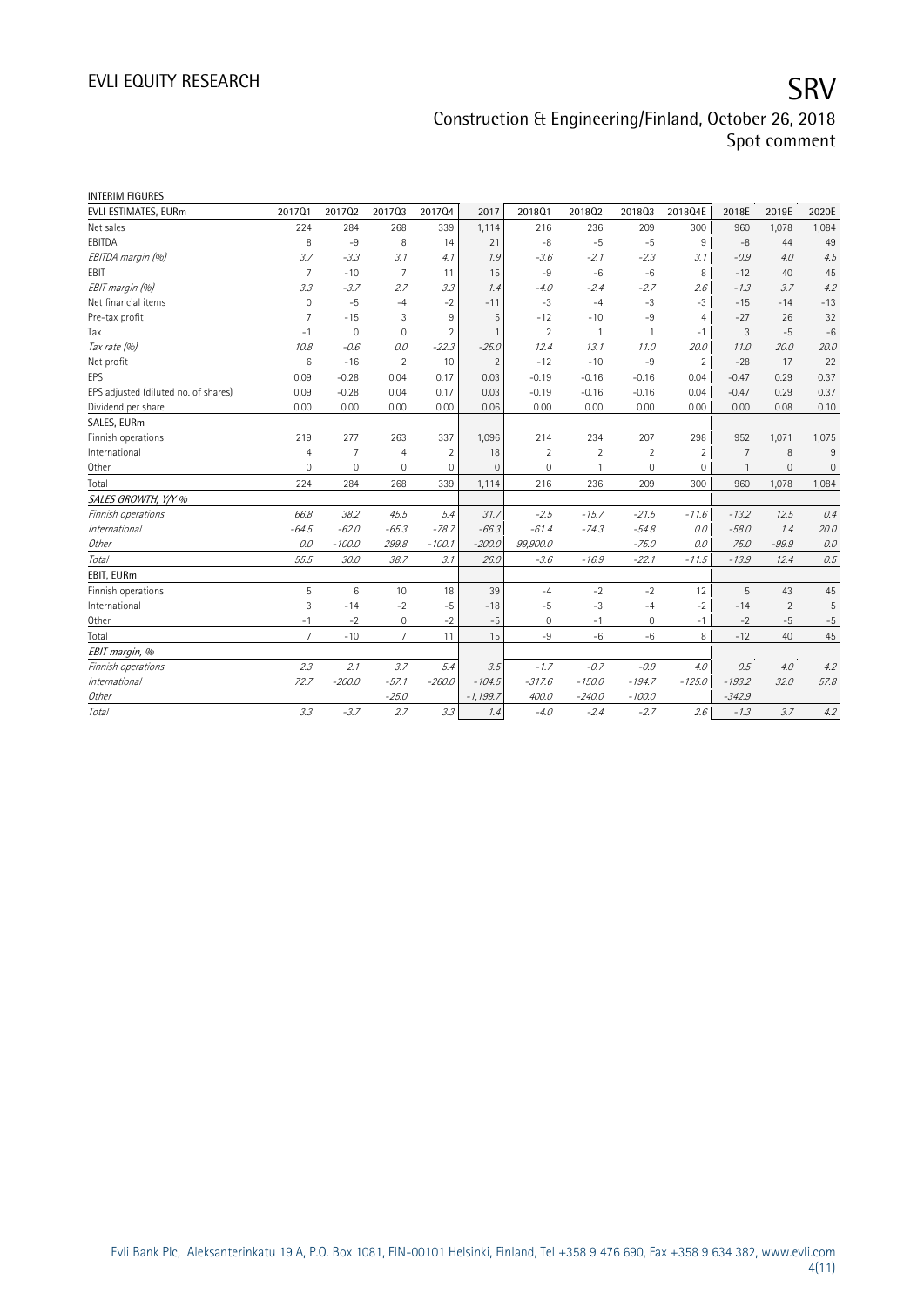| <b>INTERIM FIGURES</b>               |                 |                |                 |                |                |                |                |                |                |                |                |                     |
|--------------------------------------|-----------------|----------------|-----------------|----------------|----------------|----------------|----------------|----------------|----------------|----------------|----------------|---------------------|
| EVLI ESTIMATES, EURm                 | 201701          | 201702         | 201703          | 201704         | 2017           | 2018Q1         | 201802         | 201803         | 2018Q4E        | 2018E          | 2019E          | 2020E               |
| Net sales                            | 224             | 284            | 268             | 339            | 1,114          | 216            | 236            | 209            | 300            | 960            | 1,078          | 1,084               |
| EBITDA                               | 8               | $-9$           | 8               | 14             | 21             | $-8$           | $-5$           | $-5$           | 9              | -8             | 44             | 49                  |
| EBITDA margin (%)                    | 3.7             | $-3.3$         | 3.1             | 4.1            | 1.9            | $-3.6$         | $-2.1$         | $-2.3$         | 3.1            | $-0.9$         | 4.0            | 4.5                 |
| EBIT                                 | $\overline{7}$  | $-10$          | $\overline{7}$  | 11             | 15             | $-9$           | $-6$           | $-6$           | 8              | $-12$          | 40             | 45                  |
| EBIT margin (%)                      | 3.3             | $-3.7$         | 2.7             | 3.3            | 1.4            | $-4.0$         | $-2.4$         | $-2.7$         | 2.6            | $-1.3$         | 3.7            | 4.2                 |
| Net financial items                  | $\mathbf 0$     | $-5$           | $-4$            | $-2$           | $-11$          | $-3$           | $-4$           | $-3$           | $-3$           | $-15$          | $-14$          | $-13$               |
| Pre-tax profit                       | 7               | $-15$          | 3               | 9              | 5              | $-12$          | $-10$          | $-9$           | $\overline{4}$ | $-27$          | 26             | 32                  |
| Tax                                  | $-1$            | $\mathbf 0$    | $\mathbf{0}$    | $\overline{2}$ | $\mathbf{1}$   | $\overline{2}$ | $\mathbf{1}$   | 1              | $-1$           | 3              | $-5$           | $-6$                |
| Tax rate (%)                         | 10.8            | $-0.6$         | 0.0             | $-22.3$        | $-25.0$        | 12.4           | 13.1           | 11.0           | 20.0           | 11.0           | 20.0           | 20.0                |
| Net profit                           | 6               | $-16$          | $\overline{2}$  | 10             | $\overline{2}$ | $-12$          | $-10$          | $-9$           | $\overline{2}$ | $-28$          | 17             | 22                  |
| <b>EPS</b>                           | 0.09            | $-0.28$        | 0.04            | 0.17           | 0.03           | $-0.19$        | $-0.16$        | $-0.16$        | 0.04           | $-0.47$        | 0.29           | 0.37                |
| EPS adjusted (diluted no. of shares) | 0.09            | $-0.28$        | 0.04            | 0.17           | 0.03           | $-0.19$        | $-0.16$        | $-0.16$        | 0.04           | $-0.47$        | 0.29           | 0.37                |
| Dividend per share                   | 0.00            | 0.00           | 0.00            | 0.00           | 0.06           | 0.00           | 0.00           | 0.00           | 0.00           | 0.00           | 0.08           | 0.10                |
| SALES, EURm                          |                 |                |                 |                |                |                |                |                |                |                |                |                     |
| Finnish operations                   | 219             | 277            | 263             | 337            | 1,096          | 214            | 234            | 207            | 298            | 952            | 1,071          | 1,075               |
| International                        | $\overline{4}$  | $\overline{7}$ | $\overline{4}$  | $\overline{2}$ | 18             | $\overline{2}$ | $\overline{2}$ | $\overline{2}$ | $\overline{2}$ | $\overline{7}$ | 8              | 9                   |
| Other                                | $\mathbf 0$     | $\mathbf 0$    | $\overline{0}$  | $\mathbf 0$    | $\mathbf{0}$   | $\mathbf 0$    | $\mathbf{1}$   | 0              | $\mathbf 0$    | $\mathbf{1}$   | $\mathbf 0$    | $\mathsf{O}\xspace$ |
| Total                                | 224             | 284            | 268             | 339            | 1,114          | 216            | 236            | 209            | 300            | 960            | 1,078          | 1,084               |
| SALES GROWTH, Y/Y %                  |                 |                |                 |                |                |                |                |                |                |                |                |                     |
| Finnish operations                   | 66.8            | 38.2           | 45.5            | 5.4            | 31.7           | $-2.5$         | $-15.7$        | $-21.5$        | $-11.6$        | $-13.2$        | 12.5           | 0.4                 |
| <i>International</i>                 | $-64.5$         | $-62.0$        | $-65.3$         | $-78.7$        | $-66.3$        | $-61.4$        | $-74.3$        | $-54.8$        | 0.0            | $-58.0$        | 1.4            | 20.0                |
| Other                                | 0.0             | $-100.0$       | 299.8           | $-100.1$       | $-200.0$       | 99,900.0       |                | $-75.0$        | 0.0            | 75.0           | $-99.9$        | 0.0                 |
| Total                                | 55.5            | 30.0           | 38.7            | 3.1            | 26.0           | $-3.6$         | $-16.9$        | $-22.1$        | $-11.5$        | $-13.9$        | 12.4           | 0.5                 |
| EBIT, EURm                           |                 |                |                 |                |                |                |                |                |                |                |                |                     |
| Finnish operations                   | 5               | 6              | 10              | 18             | 39             | $-4$           | $-2$           | $-2$           | 12             | 5              | 43             | 45                  |
| International                        | 3               | $-14$          | $-2$            | $-5$           | $-18$          | $-5$           | $-3$           | $-4$           | $-2$           | $-14$          | $\overline{2}$ | 5                   |
| Other                                | $-1$            | $-2$           | $\mathbf 0$     | $-2$           | $-5$           | $\mathbf 0$    | $-1$           | $\mathbf 0$    | $-1$           | $-2$           | $-5$           | $-5$                |
| Total                                | $7\overline{ }$ | $-10$          | $7\overline{ }$ | 11             | 15             | $-9$           | $-6$           | $-6$           | 8              | $-12$          | 40             | 45                  |
| EBIT margin, %                       |                 |                |                 |                |                |                |                |                |                |                |                |                     |
| Finnish operations                   | 2.3             | 2.1            | 3.7             | 5.4            | 3.5            | $-1.7$         | $-0.7$         | $-0.9$         | 4.0            | 0.5            | 4.0            | 4.2                 |
| <i>International</i>                 | 72.7            | $-200.0$       | $-57.1$         | $-260.0$       | $-104.5$       | $-317.6$       | $-150.0$       | $-194.7$       | $-125.0$       | $-193.2$       | 32.0           | 57.8                |
| Other                                |                 |                | $-25.0$         |                | $-1,199.7$     | 400.0          | $-240.0$       | $-100.0$       |                | $-342.9$       |                |                     |
| Total                                | 3.3             | $-3.7$         | 2.7             | 3.3            | 1.4            | $-4.0$         | $-2.4$         | $-2.7$         | 2.6%           | $-1.3$         | 3.7            | 4.2                 |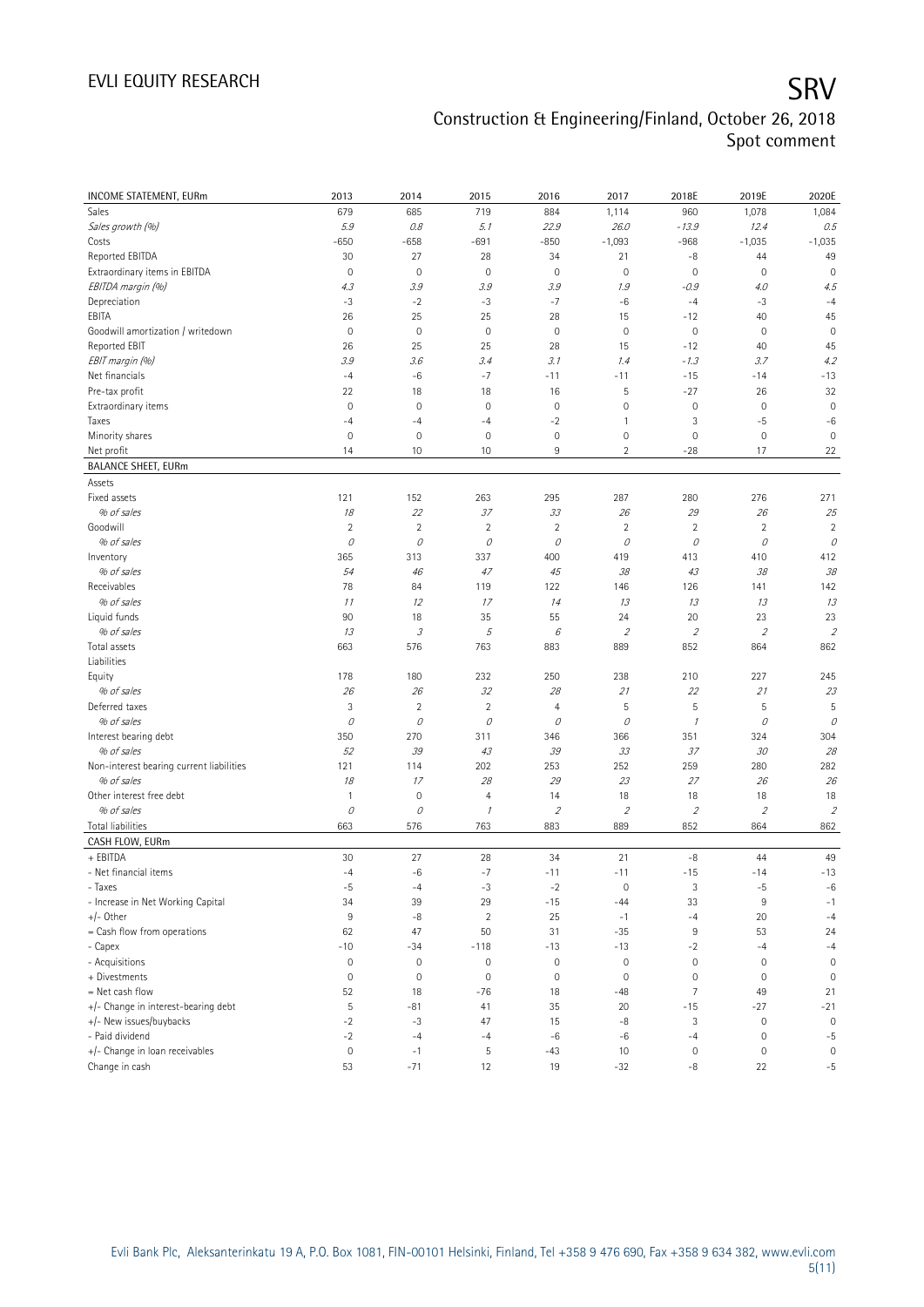| INCOME STATEMENT, EURm                   | 2013           | 2014                       | 2015           | 2016                        | 2017                        | 2018E               | 2019E         | 2020E               |
|------------------------------------------|----------------|----------------------------|----------------|-----------------------------|-----------------------------|---------------------|---------------|---------------------|
| Sales                                    | 679            | 685                        | 719            | 884                         | 1,114                       | 960                 | 1,078         | 1,084               |
| Sales growth (%)                         | 5.9            | 0.8                        | 5.1            | 22.9                        | 26.0                        | $-13.9$             | 12.4          | 0.5                 |
| Costs                                    | $-650$         | $-658$                     | $-691$         | $-850$                      | $-1,093$                    | $-968$              | $-1,035$      | $-1,035$            |
| Reported EBITDA                          | 30             | 27                         | 28             | 34                          | 21                          | -8                  | 44            | 49                  |
| Extraordinary items in EBITDA            | $\mathbf 0$    | $\mathbf 0$                | $\mathbf 0$    | $\circ$                     | $\mathbf 0$                 | $\mathsf{O}\xspace$ | $\mathbf 0$   | $\mathbf 0$         |
| EBITDA margin (%)                        | 4.3            | 3.9                        | 3.9            | 3.9                         | 1.9                         | $-0.9$              | 4.0           | 4.5                 |
| Depreciation                             | $-3$           | $-2$                       | $-3$           | $-7$                        | $-6$                        | $-4$                | $-3$          | $-4$                |
| EBITA                                    | 26             | 25                         | 25             | 28                          | 15                          | $-12$               | 40            | 45                  |
| Goodwill amortization / writedown        | $\mathbf 0$    | $\mathbf 0$                | $\mathbf 0$    | $\circ$                     | $\mathbf 0$                 | $\mathsf{O}\xspace$ | $\mathbf 0$   | $\mathbf 0$         |
| Reported EBIT                            | 26             | 25                         | 25             | 28                          | 15                          | $-12$               | 40            | 45                  |
| EBIT margin (%)                          | 3.9            | 3.6                        | 3.4            | 3.1                         | 1.4                         | $-1.3$              | 3.7           | 4.2                 |
| Net financials                           | $-4$           | $-6$                       | $-7$           | $-11$                       | $-11$                       | $-15$               | $-14$         | $-13$               |
| Pre-tax profit                           | 22             | 18                         | 18             | 16                          | 5                           | $-27$               | 26            | 32                  |
| Extraordinary items                      | $\mathbf 0$    | $\mathbf 0$                | $\mathbf 0$    | $\circ$                     | $\mathbf 0$                 | $\mathbb O$         | $\mathbf 0$   | $\mathbf 0$         |
| Taxes                                    | $-4$           | $-4$                       | $-4$           | $-2$                        | $\mathbf{1}$                | 3                   | $-5$          | $-6$                |
| Minority shares                          | $\mathbf 0$    | $\mathsf{O}\xspace$        | 0              | $\circ$                     | $\mathbf 0$                 | $\mathbb O$         | $\bf 0$       | $\mathbf 0$         |
| Net profit                               | 14             | 10                         | 10             | 9                           | $\overline{2}$              | $-28$               | 17            | 22                  |
| <b>BALANCE SHEET, EURm</b>               |                |                            |                |                             |                             |                     |               |                     |
| Assets                                   |                |                            |                |                             |                             |                     |               |                     |
| Fixed assets                             | 121            | 152                        | 263            | 295                         | 287                         | 280                 | 276           | 271                 |
| % of sales                               | $18\,$         | 22                         | 37             | 33                          | 26                          | 29                  | 26            | 25                  |
| Goodwill                                 | $\sqrt{2}$     | $\sqrt{2}$                 | $\overline{2}$ | $\sqrt{2}$                  | $\sqrt{2}$                  | $\sqrt{2}$          | $\sqrt{2}$    | $\overline{2}$      |
| % of sales                               | $\mathcal O$   | 0                          | 0              | 0                           | 0                           | 0                   | 0             | 0                   |
| Inventory                                | 365            | 313                        | 337            | 400                         | 419                         | 413                 | 410           | 412                 |
| % of sales                               | 54             | 46                         | 47             | 45                          | 38                          | 43                  | 38            | 38                  |
| Receivables                              | 78             | 84                         | 119            | 122                         | 146                         | 126                 | 141           | 142                 |
| % of sales                               | 11             | 12                         | 17             | 14                          | 13                          | 13                  | 13            | 13                  |
| Liquid funds                             | 90             | 18                         | 35             | 55                          | 24                          | 20                  | 23            | 23                  |
| % of sales                               | 13             | $\ensuremath{\mathcal{S}}$ | 5              | 6                           | $\mathcal{L}_{\mathcal{L}}$ | $\overline{2}$      | $\mathfrak z$ | $\overline{2}$      |
| Total assets                             | 663            | 576                        | 763            | 883                         | 889                         | 852                 | 864           | 862                 |
| Liabilities                              |                |                            |                |                             |                             |                     |               |                     |
| Equity                                   | 178            | 180                        | 232            | 250                         | 238                         | 210                 | 227           | 245                 |
| % of sales                               | 26             | 26                         | 32             | 28                          | 21                          | 22                  | 21            | 23                  |
| Deferred taxes                           | 3              | $\overline{c}$             | $\overline{2}$ | 4                           | 5                           | 5                   | $\mathsf S$   | 5                   |
| % of sales                               | 0              | $\mathcal O$               | 0              | 0                           | 0                           | $\mathcal I$        | 0             | 0                   |
| Interest bearing debt                    | 350            | 270                        | 311            | 346                         | 366                         | 351                 | 324           | 304                 |
| % of sales                               | 52             | 39                         | 43             | 39                          | 33                          | 37                  | 30            | 28                  |
| Non-interest bearing current liabilities | 121            | 114                        | 202            | 253                         | 252                         | 259                 | 280           | 282                 |
| % of sales                               | 18             | 17                         | 28             | 29                          | 23                          | 27                  | 26            | 26                  |
| Other interest free debt                 | $\mathbf{1}$   | $\mathbf 0$                | $\overline{4}$ | 14                          | 18                          | 18                  | 18            | 18                  |
| % of sales                               | $\mathcal O$   | 0                          | $\mathcal I$   | $\mathcal{L}_{\mathcal{L}}$ | $\overline{2}$              | $\overline{2}$      | $\mathfrak z$ | $\overline{2}$      |
| <b>Total liabilities</b>                 | 663            | 576                        | 763            | 883                         | 889                         | 852                 | 864           | 862                 |
| CASH FLOW, EURm                          |                |                            |                |                             |                             |                     |               |                     |
| + EBITDA                                 | 30             | 27                         | 28             | 34                          | 21                          | $-8$                | 44            | 49                  |
| - Net financial items                    | $-4$           | $-6$                       | $-7$           | $-11$                       | $-11$                       | $-15$               | $-14$         | $-13$               |
| - Taxes                                  | $-5$           | $-4$                       | $-3$           | $-2$                        | $\mathbf 0$                 | 3                   | $-5$          | $-6$                |
| - Increase in Net Working Capital        | 34             | 39                         | 29             | $-15$                       | $-44$                       | 33                  | $9\,$         | $-1$                |
| $+/-$ Other                              | $9\,$          | $-8$                       | $\overline{2}$ | 25                          | $-1$                        | $-4$                | 20            | $-4$                |
| = Cash flow from operations              | 62             | 47                         | 50             | 31                          | $-35$                       | $\,9$               | 53            | 24                  |
| - Capex                                  | $-10$          | $-34$                      | $-118$         | $-13$                       | $-13$                       | $-2$                | $-4$          | $-4$                |
| - Acquisitions                           | $\mathbb O$    | $\mathbf 0$                | $\mathbb O$    | $\mathbf 0$                 | $\mathbf 0$                 | $\mathsf{O}\xspace$ | $\mathbf 0$   | $\mathsf{O}\xspace$ |
| + Divestments                            | $\mathbf 0$    | $\mathbf 0$                | $\mathbf 0$    | $\circ$                     | $\mathbf 0$                 | $\mathsf{O}\xspace$ | $\mathbf 0$   | $\mathbf 0$         |
| = Net cash flow                          |                |                            |                |                             |                             |                     |               |                     |
|                                          | 52             | 18                         | $-76$          | 18                          | $-48$                       | $\overline{7}$      | 49            | 21                  |
| +/- Change in interest-bearing debt      | $\overline{5}$ | $-81$                      | 41             | 35                          | 20                          | $-15$               | $-27$         | $-21$               |
| +/- New issues/buybacks                  | $-2$           | $-3$                       | 47             | 15                          | $-8$                        | 3                   | $\mathbf 0$   | $\mathbf 0$         |
| - Paid dividend                          | $-2$           | $-4$                       | $-4$           | $-6$                        | $-6$                        | $-4$                | $\mathbf 0$   | $-5$                |
| +/- Change in loan receivables           | $\mathbb O$    | $-1$                       | 5              | $-43$                       | 10                          | 0                   | $\bf 0$       | $\mathbf 0$         |
| Change in cash                           | 53             | $-71$                      | 12             | 19                          | $-32$                       | -8                  | 22            | $-5$                |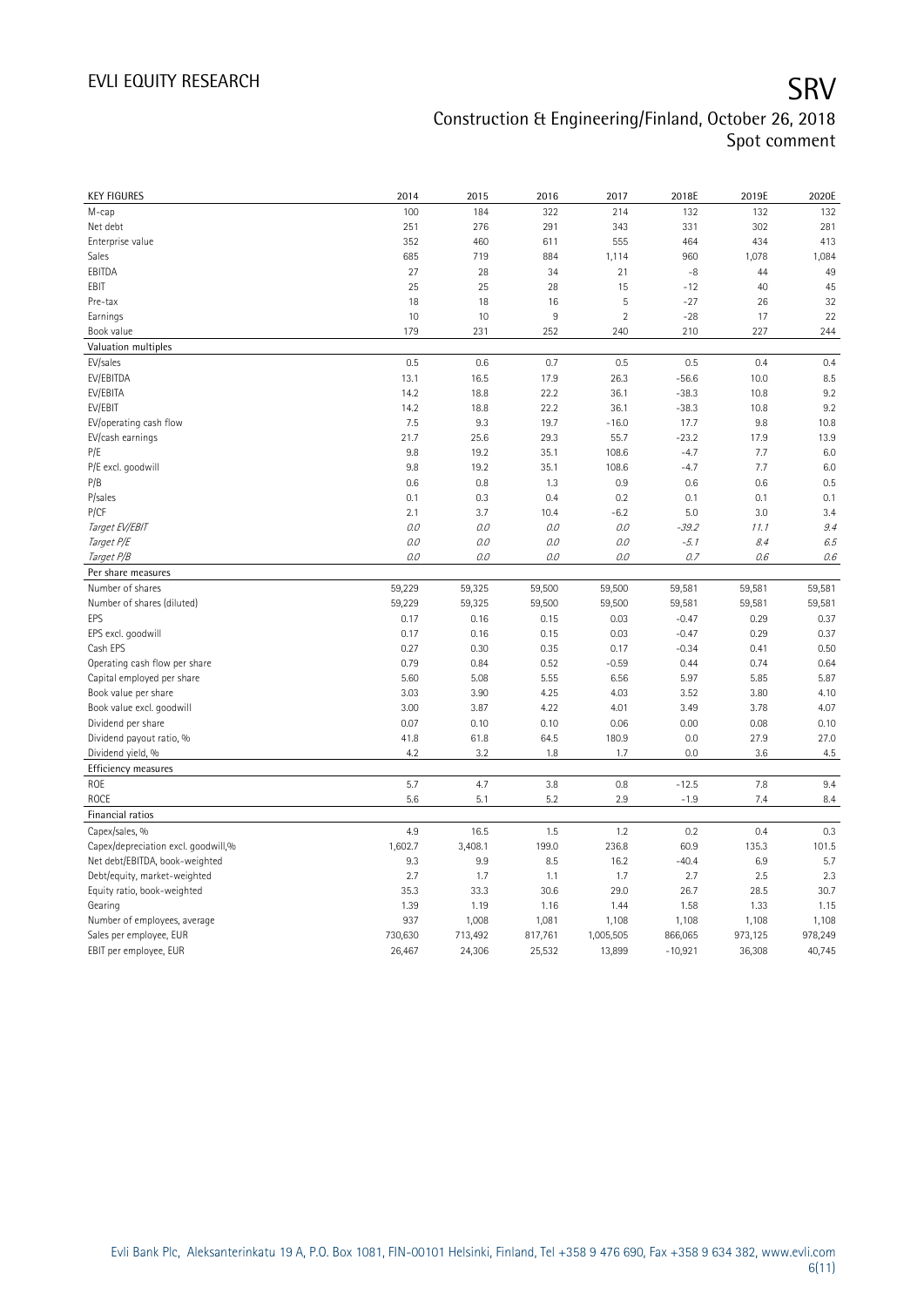| <b>KEY FIGURES</b>                                | 2014              | 2015              | 2016              | 2017                | 2018E                | 2019E             | 2020E             |
|---------------------------------------------------|-------------------|-------------------|-------------------|---------------------|----------------------|-------------------|-------------------|
| M-cap                                             | 100               | 184               | 322               | 214                 | 132                  | 132               | 132               |
| Net debt                                          | 251               | 276               | 291               | 343                 | 331                  | 302               | 281               |
| Enterprise value                                  | 352               | 460               | 611               | 555                 | 464                  | 434               | 413               |
| Sales                                             | 685               | 719               | 884               | 1,114               | 960                  | 1,078             | 1,084             |
| EBITDA                                            | 27                | 28                | 34                | 21                  | $-8$                 | 44                | 49                |
| EBIT                                              | 25                | 25                | 28                | 15                  | $-12$                | 40                | 45                |
| Pre-tax                                           | 18                | 18                | 16                | 5                   | $-27$                | 26                | 32                |
| Earnings                                          | 10                | 10                | 9                 | $\sqrt{2}$          | $-28$                | 17                | 22                |
| Book value                                        | 179               | 231               | 252               | 240                 | 210                  | 227               | 244               |
| Valuation multiples                               |                   |                   |                   |                     |                      |                   |                   |
| EV/sales                                          | 0.5               | 0.6               | 0.7               | 0.5                 | 0.5                  | 0.4               | 0.4               |
| EV/EBITDA                                         | 13.1              | 16.5              | 17.9              | 26.3                | $-56.6$              | 10.0              | 8.5               |
| EV/EBITA                                          | 14.2              | 18.8              | 22.2              | 36.1                | $-38.3$              | 10.8              | 9.2               |
| EV/EBIT                                           | 14.2              | 18.8              | 22.2              | 36.1                | $-38.3$              | 10.8              | 9.2               |
| EV/operating cash flow                            | 7.5               | 9.3               | 19.7              | $-16.0$             | 17.7                 | 9.8               | 10.8              |
| EV/cash earnings                                  | 21.7              | 25.6              | 29.3              | 55.7                | $-23.2$              | 17.9              | 13.9              |
| P/E                                               | 9.8               | 19.2              | 35.1              | 108.6               | $-4.7$               | 7.7               | 6.0               |
| P/E excl. goodwill                                | 9.8               | 19.2              | 35.1              | 108.6               | $-4.7$               | 7.7               | 6.0               |
| P/B                                               | 0.6               | 0.8               | 1.3               | 0.9                 | 0.6                  | 0.6               | 0.5               |
| P/sales                                           | 0.1               | 0.3               | 0.4               | 0.2                 | 0.1                  | 0.1               | 0.1               |
| P/CF                                              | 2.1               | 3.7               | 10.4              | $-6.2$              | 5.0                  | 3.0               | 3.4               |
| Target EV/EBIT                                    | 0.0               | 0.0               | 0.0               | $0.0\,$             | $-39.2$              | 11.1              | 9.4               |
| Target P/E                                        | $O.O$             | 0.0               | 0.0               | 0.0                 | $-5.1$               | 8.4               | 6.5               |
| Target P/B                                        | 0.0               | 0.0               | $0.0$             | 0.0                 | 0.7                  | 0.6               | 0.6               |
| Per share measures                                |                   |                   |                   |                     |                      |                   |                   |
|                                                   |                   |                   |                   |                     |                      |                   |                   |
|                                                   |                   |                   |                   |                     |                      |                   |                   |
| Number of shares                                  | 59,229            | 59,325            | 59,500            | 59,500              | 59,581               | 59,581            | 59,581            |
| Number of shares (diluted)                        | 59,229            | 59,325            | 59,500            | 59,500              | 59,581               | 59,581            | 59,581            |
| EPS                                               | 0.17              | 0.16              | 0.15              | 0.03                | $-0.47$              | 0.29              | 0.37              |
| EPS excl. goodwill                                | 0.17              | 0.16              | 0.15              | 0.03                | $-0.47$              | 0.29              | 0.37              |
| Cash EPS                                          | 0.27              | 0.30              | 0.35              | 0.17                | $-0.34$              | 0.41              | 0.50              |
| Operating cash flow per share                     | 0.79              | 0.84              | 0.52              | $-0.59$             | 0.44                 | 0.74              | 0.64              |
| Capital employed per share                        | 5.60              | 5.08              | 5.55              | 6.56                | 5.97                 | 5.85              | 5.87              |
| Book value per share                              | 3.03              | 3.90              | 4.25              | 4.03                | 3.52                 | 3.80              | 4.10              |
| Book value excl. goodwill                         | 3.00              | 3.87              | 4.22              | 4.01                | 3.49                 | 3.78              | 4.07              |
| Dividend per share                                | 0.07              | 0.10              | 0.10              | 0.06                | 0.00                 | 0.08              | 0.10              |
| Dividend payout ratio, %                          | 41.8              | 61.8              | 64.5              | 180.9               | 0.0                  | 27.9              | 27.0              |
| Dividend yield, %                                 | 4.2               | 3.2               | 1.8               | 1.7                 | 0.0                  | 3.6               | 4.5               |
| <b>Efficiency measures</b>                        |                   |                   |                   |                     |                      |                   |                   |
| ROE                                               | 5.7               | 4.7               | 3.8               | 0.8                 | $-12.5$              | 7.8               | 9.4               |
| ROCE                                              | 5.6               | 5.1               | 5.2               | 2.9                 | $-1.9$               | 7.4               | 8.4               |
| Financial ratios                                  |                   |                   |                   |                     |                      |                   |                   |
| Capex/sales, %                                    | 4.9               | 16.5              | 1.5               | 1.2                 | 0.2                  | 0.4               | 0.3               |
| Capex/depreciation excl. goodwill,%               | 1,602.7           | 3,408.1           | 199.0             | 236.8               | 60.9                 | 135.3             | 101.5             |
| Net debt/EBITDA, book-weighted                    | 9.3               | 9.9               | 8.5               | 16.2                | $-40.4$              | 6.9               | 5.7               |
| Debt/equity, market-weighted                      | 2.7               | 1.7               | 1.1               | 1.7                 | 2.7                  | 2.5               | 2.3               |
| Equity ratio, book-weighted                       | 35.3              | 33.3              | 30.6              | 29.0                | 26.7                 | 28.5              | 30.7              |
| Gearing                                           | 1.39              | 1.19              | 1.16              | 1.44                | 1.58                 | 1.33              | 1.15              |
| Number of employees, average                      | 937               | 1,008             | 1,081             | 1,108               | 1,108                | 1,108             | 1,108             |
| Sales per employee, EUR<br>EBIT per employee, EUR | 730,630<br>26,467 | 713,492<br>24,306 | 817,761<br>25,532 | 1,005,505<br>13,899 | 866,065<br>$-10,921$ | 973,125<br>36,308 | 978,249<br>40,745 |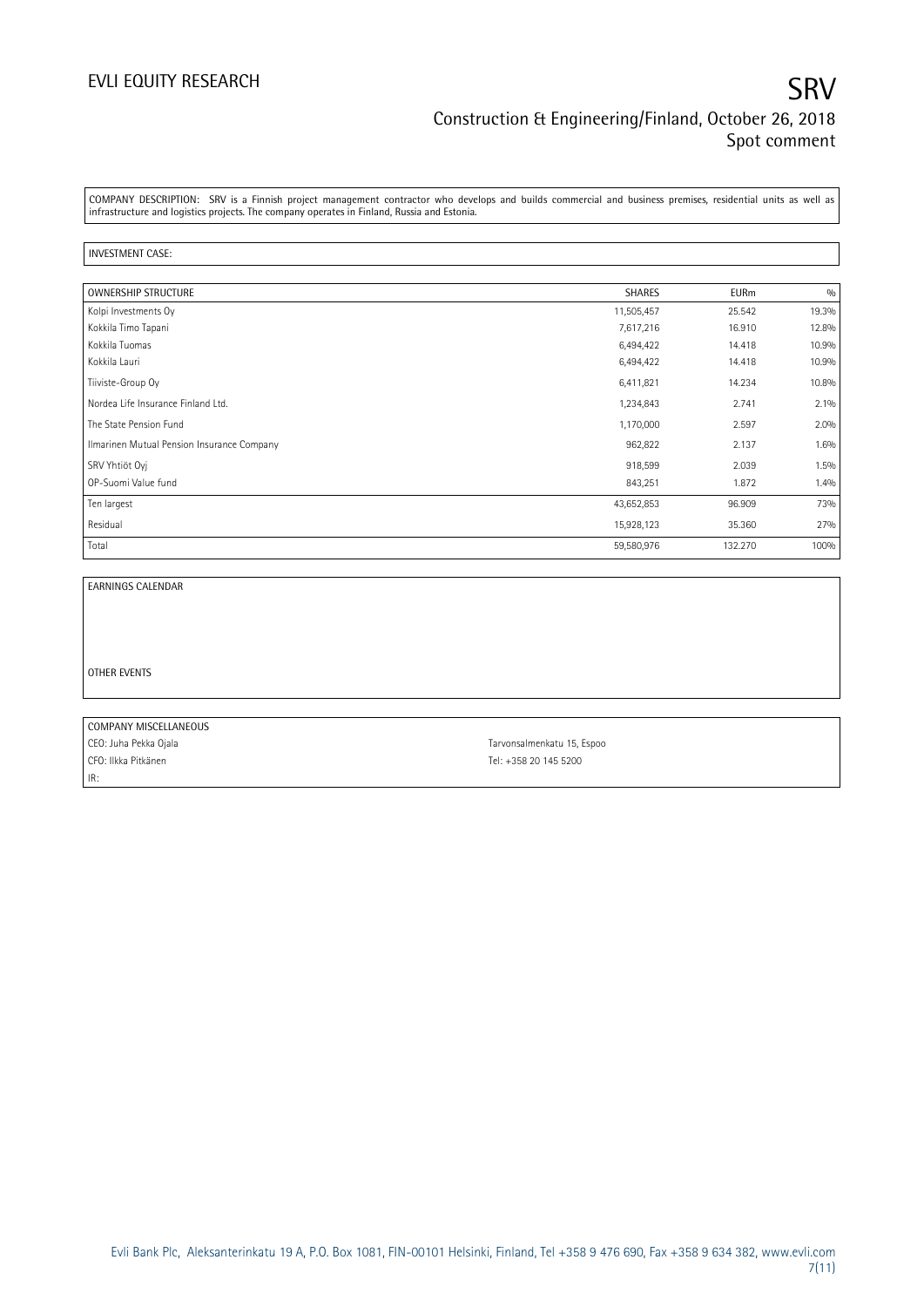COMPANY DESCRIPTION: SRV is a Finnish project management contractor who develops and builds commercial and business premises, residential units as well as infrastructure and logistics projects. The company operates in Finland, Russia and Estonia.

#### INVESTMENT CASE:

| <b>OWNERSHIP STRUCTURE</b>                 | <b>SHARES</b> | <b>EURm</b> | 0/0   |
|--------------------------------------------|---------------|-------------|-------|
| Kolpi Investments Oy                       | 11,505,457    | 25.542      | 19.3% |
| Kokkila Timo Tapani                        | 7,617,216     | 16.910      | 12.8% |
| Kokkila Tuomas                             | 6,494,422     | 14.418      | 10.9% |
| Kokkila Lauri                              | 6,494,422     | 14.418      | 10.9% |
| Tiiviste-Group Oy                          | 6,411,821     | 14.234      | 10.8% |
| Nordea Life Insurance Finland Ltd.         | 1,234,843     | 2.741       | 2.1%  |
| The State Pension Fund                     | 1,170,000     | 2.597       | 2.0%  |
| Ilmarinen Mutual Pension Insurance Company | 962,822       | 2.137       | 1.6%  |
| SRV Yhtiöt Oyj                             | 918,599       | 2.039       | 1.5%  |
| OP-Suomi Value fund                        | 843,251       | 1.872       | 1.4%  |
| Ten largest                                | 43,652,853    | 96.909      | 73%   |
| Residual                                   | 15,928,123    | 35.360      | 27%   |
| Total                                      | 59,580,976    | 132.270     | 100%  |

EARNINGS CALENDAR

OTHER EVENTS

COMPANY MISCELLANEOUS CEO: Juha Pekka Ojala **Tarvonsalmenkatu 15, Espoo** CFO: Ilkka Pitkänen Tel: +358 20 145 5200 IR: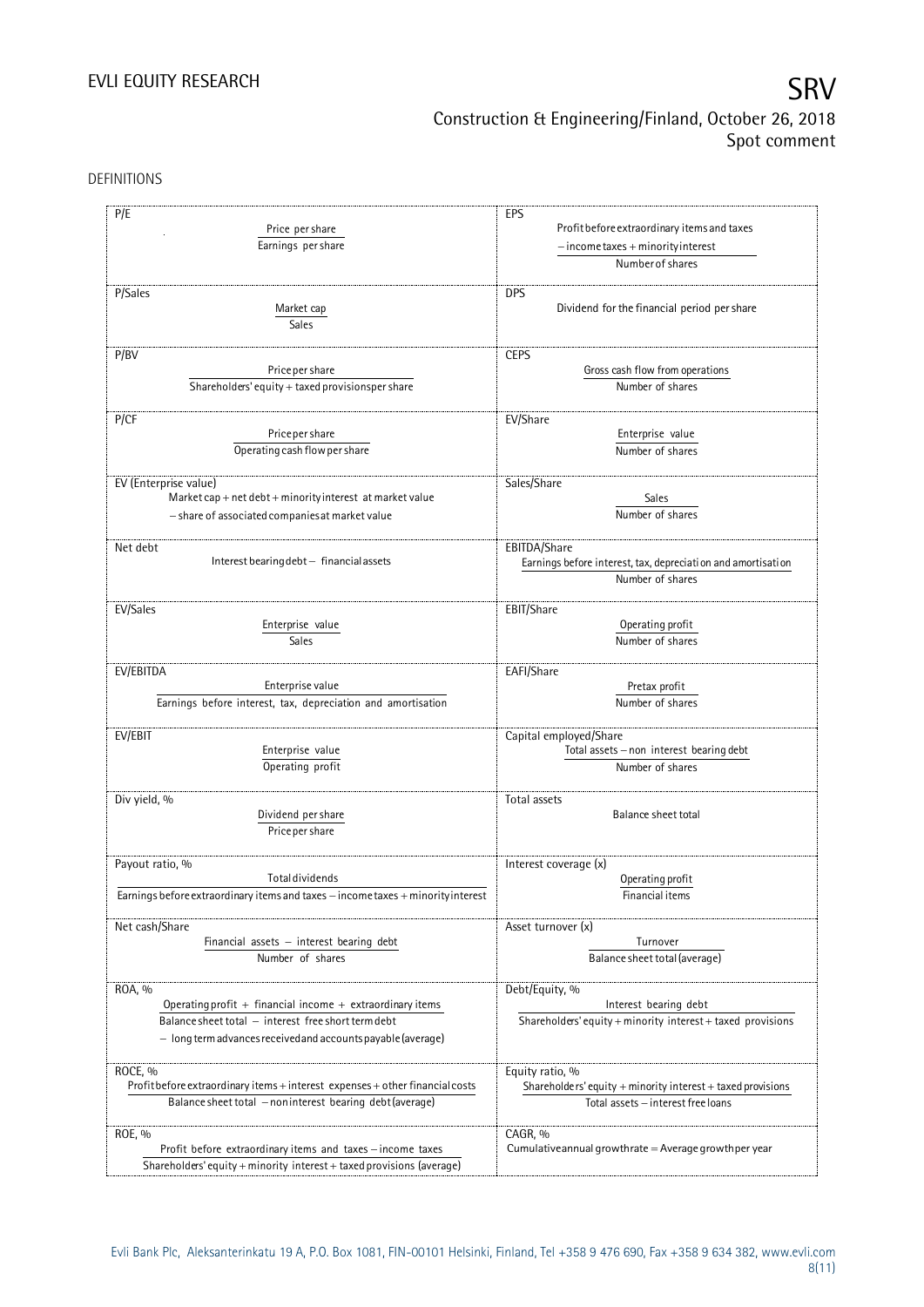DEFINITIONS

| P/E                                                                                                       | EPS                                                             |
|-----------------------------------------------------------------------------------------------------------|-----------------------------------------------------------------|
| Price per share                                                                                           | Profit before extraordinary items and taxes                     |
| Earnings per share                                                                                        | $-$ income taxes + minority interest                            |
|                                                                                                           | Number of shares                                                |
|                                                                                                           |                                                                 |
| P/Sales                                                                                                   | <b>DPS</b>                                                      |
| Market cap                                                                                                | Dividend for the financial period per share                     |
| Sales                                                                                                     |                                                                 |
|                                                                                                           |                                                                 |
| P/BV                                                                                                      | <b>CEPS</b>                                                     |
| Price per share                                                                                           | Gross cash flow from operations                                 |
|                                                                                                           |                                                                 |
| Shareholders' equity + taxed provisionsper share                                                          | Number of shares                                                |
|                                                                                                           |                                                                 |
| P/CF                                                                                                      | EV/Share                                                        |
| Price per share                                                                                           | Enterprise value                                                |
| Operating cash flow per share                                                                             | Number of shares                                                |
|                                                                                                           |                                                                 |
| EV (Enterprise value)                                                                                     | Sales/Share                                                     |
| $\textsf{Market cap} + \textsf{net debt} + \textsf{minority} \textsf{interest} \textsf{ at market value}$ | Sales                                                           |
| - share of associated companies at market value                                                           | Number of shares                                                |
|                                                                                                           |                                                                 |
|                                                                                                           |                                                                 |
| Net debt                                                                                                  | EBITDA/Share                                                    |
| Interest bearing debt - financial assets                                                                  | Earnings before interest, tax, depreciation and amortisation    |
|                                                                                                           | Number of shares                                                |
|                                                                                                           |                                                                 |
| EV/Sales                                                                                                  | EBIT/Share                                                      |
| Enterprise value                                                                                          | Operating profit                                                |
| Sales                                                                                                     | Number of shares                                                |
|                                                                                                           |                                                                 |
| EV/EBITDA                                                                                                 | EAFI/Share                                                      |
| Enterprise value                                                                                          | Pretax profit                                                   |
| Earnings before interest, tax, depreciation and amortisation                                              | Number of shares                                                |
|                                                                                                           |                                                                 |
| EV/EBIT                                                                                                   | Capital employed/Share                                          |
| Enterprise value                                                                                          | Total assets - non interest bearing debt                        |
| Operating profit                                                                                          | Number of shares                                                |
|                                                                                                           |                                                                 |
|                                                                                                           |                                                                 |
| Div yield, %                                                                                              | Total assets                                                    |
| Dividend per share                                                                                        | Balance sheet total                                             |
| Price per share                                                                                           |                                                                 |
|                                                                                                           |                                                                 |
| Payout ratio, %                                                                                           | Interest coverage (x)                                           |
| <b>Total dividends</b>                                                                                    | Operating profit                                                |
| Earnings before extraordinary items and taxes - income taxes + minority interest                          | Financial items                                                 |
|                                                                                                           |                                                                 |
| Net cash/Share                                                                                            | Asset turnover (x)                                              |
| Financial assets $-$ interest bearing debt                                                                | Turnover                                                        |
| Number of shares                                                                                          | Balance sheet total (average)                                   |
|                                                                                                           |                                                                 |
| ROA, %                                                                                                    | Debt/Equity, %                                                  |
| Operating profit $+$ financial income $+$ extraordinary items                                             | Interest bearing debt                                           |
|                                                                                                           |                                                                 |
| Balance sheet total - interest free short term debt                                                       | Shareholders' equity + minority interest + taxed provisions     |
| $-$ long term advances received and accounts payable (average)                                            |                                                                 |
|                                                                                                           |                                                                 |
| ROCE, %                                                                                                   | Equity ratio, %                                                 |
| Profit before extraordinary items + interest expenses + other financial costs                             | Shareholders' equity $+$ minority interest $+$ taxed provisions |
| Balance sheet total - noninterest bearing debt (average)                                                  | Total assets - interest free loans                              |
|                                                                                                           |                                                                 |
| ROE, %                                                                                                    | CAGR, %                                                         |
| Profit before extraordinary items and taxes - income taxes                                                | Cumulative annual growthrate $=$ Average growthper year         |
| Shareholders' equity + minority interest + taxed provisions (average)                                     |                                                                 |
|                                                                                                           |                                                                 |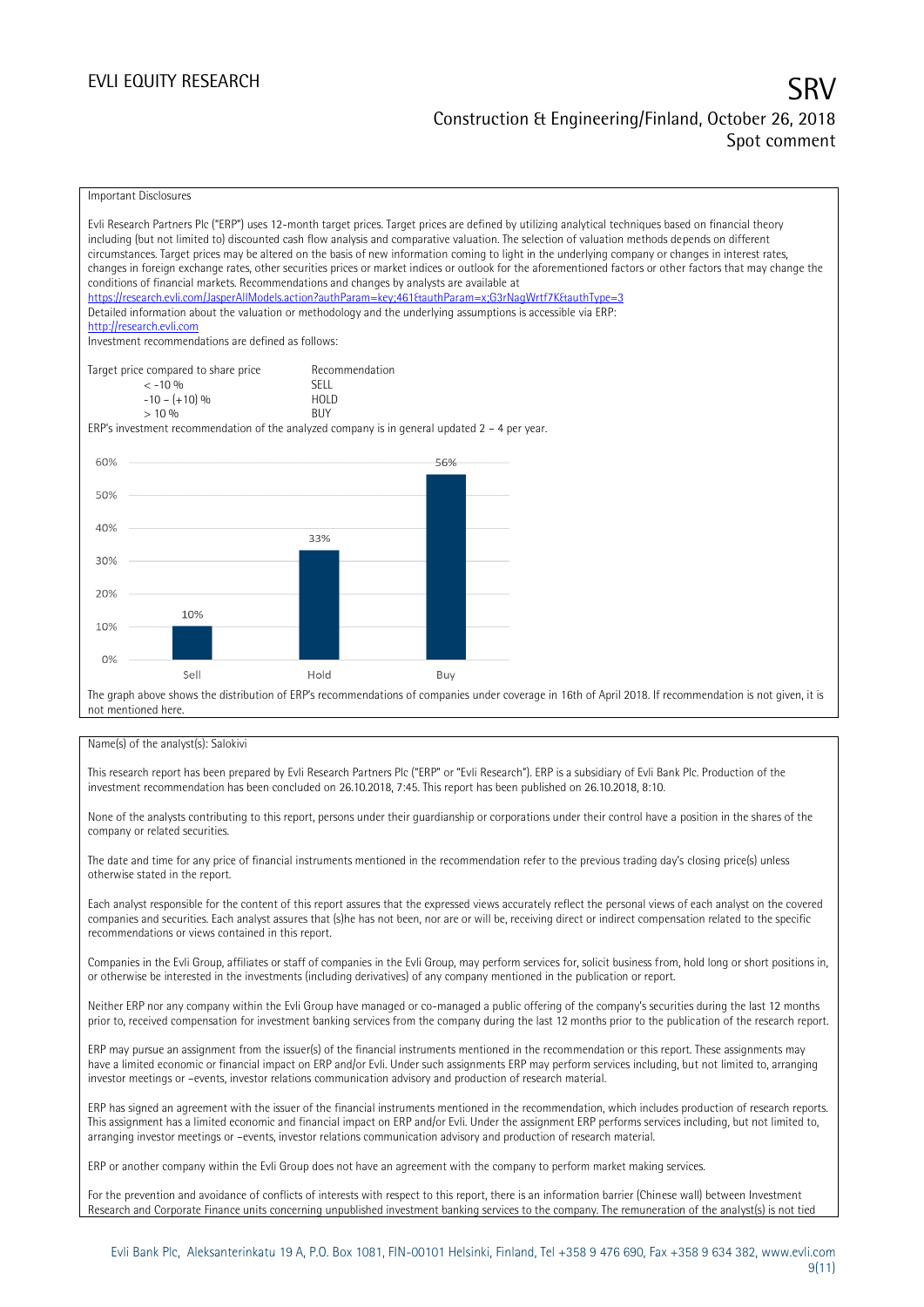### Important Disclosures Evli Research Partners Plc ("ERP") uses 12-month target prices. Target prices are defined by utilizing analytical techniques based on financial theory including (but not limited to) discounted cash flow analysis and comparative valuation. The selection of valuation methods depends on different circumstances. Target prices may be altered on the basis of new information coming to light in the underlying company or changes in interest rates, changes in foreign exchange rates, other securities prices or market indices or outlook for the aforementioned factors or other factors that may change the conditions of financial markets. Recommendations and changes by analysts are available at https://research.evli.com/JasperAllModels.action?authParam=key;461&authParam=x;G3rNagWrtf7K&tauthType=3 Detailed information about the valuation or methodology and the underlying assumptions is accessible via ERP: [http://research.evli.com](http://research.evli.com/) Investment recommendations are defined as follows: Target price compared to share price Recommendation<br>  $\leq -10\%$  SELL  $\langle 5, -10, 9 \rangle$  SELL<br>  $\langle -10, - (+10), 9 \rangle$  HOLD  $-10 - (+10) \%$  HOL<br>  $> 10 \%$  $> 10\%$ ERP's investment recommendation of the analyzed company is in general updated  $2 - 4$  per year. 60% 56% 50% 40% 33%  $30%$ 20% 10%  $10%$  $0%$ Sell Hold Buy The graph above shows the distribution of ERP's recommendations of companies under coverage in 16th of April 2018. If recommendation is not given, it is not mentioned here.

#### Name(s) of the analyst(s): Salokivi

This research report has been prepared by Evli Research Partners Plc ("ERP" or "Evli Research"). ERP is a subsidiary of Evli Bank Plc. Production of the investment recommendation has been concluded on 26.10.2018, 7:45. This report has been published on 26.10.2018, 8:10.

None of the analysts contributing to this report, persons under their guardianship or corporations under their control have a position in the shares of the company or related securities.

The date and time for any price of financial instruments mentioned in the recommendation refer to the previous trading day's closing price(s) unless otherwise stated in the report.

Each analyst responsible for the content of this report assures that the expressed views accurately reflect the personal views of each analyst on the covered companies and securities. Each analyst assures that (s)he has not been, nor are or will be, receiving direct or indirect compensation related to the specific recommendations or views contained in this report.

Companies in the Evli Group, affiliates or staff of companies in the Evli Group, may perform services for, solicit business from, hold long or short positions in, or otherwise be interested in the investments (including derivatives) of any company mentioned in the publication or report.

Neither ERP nor any company within the Evli Group have managed or co-managed a public offering of the company's securities during the last 12 months prior to, received compensation for investment banking services from the company during the last 12 months prior to the publication of the research report.

ERP may pursue an assignment from the issuer(s) of the financial instruments mentioned in the recommendation or this report. These assignments may have a limited economic or financial impact on ERP and/or Evli. Under such assignments ERP may perform services including, but not limited to, arranging investor meetings or –events, investor relations communication advisory and production of research material.

ERP has signed an agreement with the issuer of the financial instruments mentioned in the recommendation, which includes production of research reports. This assignment has a limited economic and financial impact on ERP and/or Evli. Under the assignment ERP performs services including, but not limited to, arranging investor meetings or –events, investor relations communication advisory and production of research material.

ERP or another company within the Evli Group does not have an agreement with the company to perform market making services.

For the prevention and avoidance of conflicts of interests with respect to this report, there is an information barrier (Chinese wall) between Investment Research and Corporate Finance units concerning unpublished investment banking services to the company. The remuneration of the analyst(s) is not tied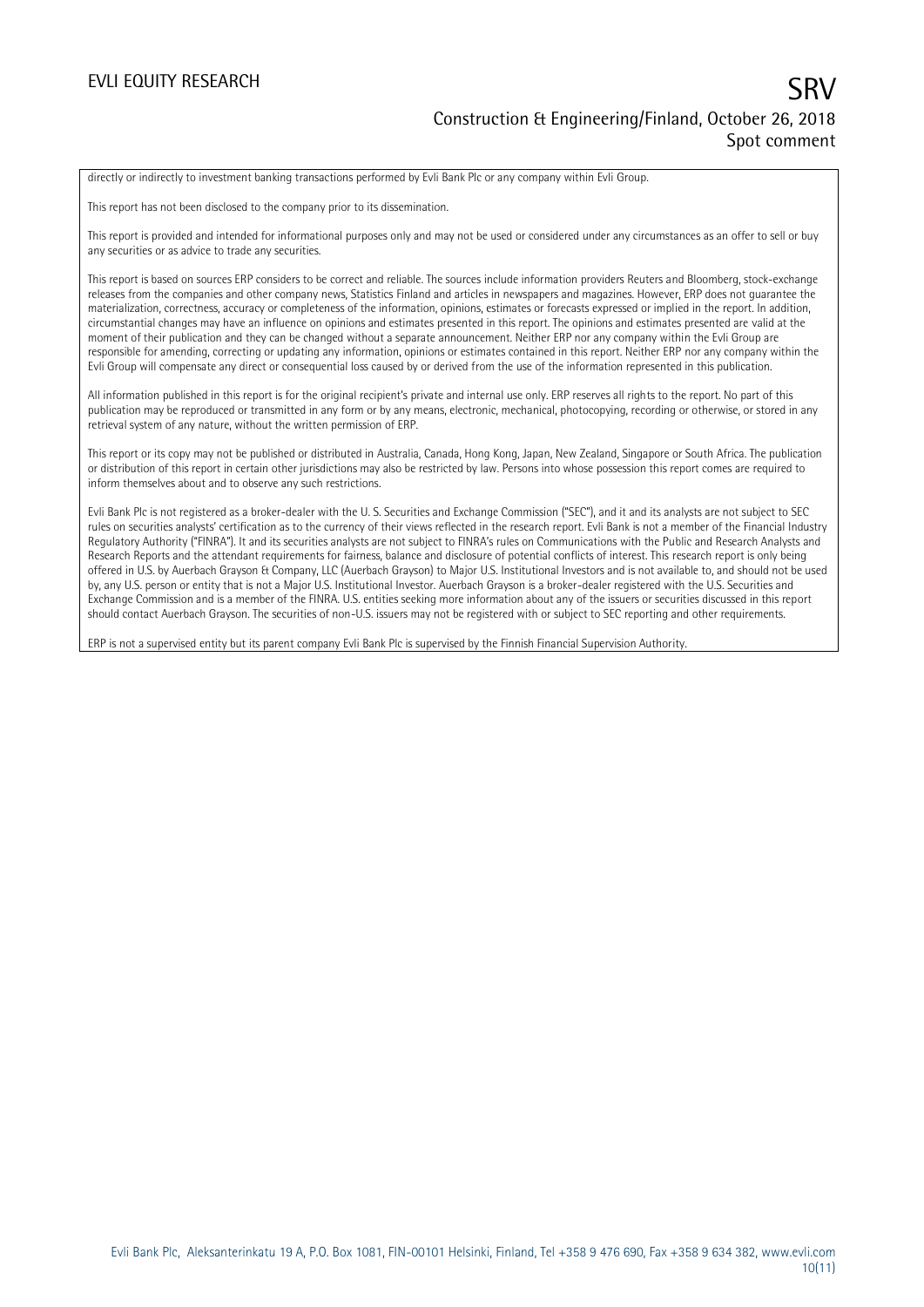### EVLI EQUITY RESEARCH

# Construction & Engineering/Finland, October 26, 2018 Spot comment

directly or indirectly to investment banking transactions performed by Evli Bank Plc or any company within Evli Group.

This report has not been disclosed to the company prior to its dissemination.

This report is provided and intended for informational purposes only and may not be used or considered under any circumstances as an offer to sell or buy any securities or as advice to trade any securities.

This report is based on sources ERP considers to be correct and reliable. The sources include information providers Reuters and Bloomberg, stock-exchange releases from the companies and other company news, Statistics Finland and articles in newspapers and magazines. However, ERP does not guarantee the materialization, correctness, accuracy or completeness of the information, opinions, estimates or forecasts expressed or implied in the report. In addition, circumstantial changes may have an influence on opinions and estimates presented in this report. The opinions and estimates presented are valid at the moment of their publication and they can be changed without a separate announcement. Neither ERP nor any company within the Evli Group are responsible for amending, correcting or updating any information, opinions or estimates contained in this report. Neither ERP nor any company within the Evli Group will compensate any direct or consequential loss caused by or derived from the use of the information represented in this publication.

All information published in this report is for the original recipient's private and internal use only. ERP reserves all rights to the report. No part of this publication may be reproduced or transmitted in any form or by any means, electronic, mechanical, photocopying, recording or otherwise, or stored in any retrieval system of any nature, without the written permission of ERP.

This report or its copy may not be published or distributed in Australia, Canada, Hong Kong, Japan, New Zealand, Singapore or South Africa. The publication or distribution of this report in certain other jurisdictions may also be restricted by law. Persons into whose possession this report comes are required to inform themselves about and to observe any such restrictions.

Evli Bank Plc is not registered as a broker-dealer with the U. S. Securities and Exchange Commission ("SEC"), and it and its analysts are not subject to SEC rules on securities analysts' certification as to the currency of their views reflected in the research report. Evli Bank is not a member of the Financial Industry Regulatory Authority ("FINRA"). It and its securities analysts are not subject to FINRA's rules on Communications with the Public and Research Analysts and Research Reports and the attendant requirements for fairness, balance and disclosure of potential conflicts of interest. This research report is only being offered in U.S. by Auerbach Grayson & Company, LLC (Auerbach Grayson) to Major U.S. Institutional Investors and is not available to, and should not be used by, any U.S. person or entity that is not a Major U.S. Institutional Investor. Auerbach Grayson is a broker-dealer registered with the U.S. Securities and Exchange Commission and is a member of the FINRA. U.S. entities seeking more information about any of the issuers or securities discussed in this report should contact Auerbach Grayson. The securities of non-U.S. issuers may not be registered with or subject to SEC reporting and other requirements.

ERP is not a supervised entity but its parent company Evli Bank Plc is supervised by the Finnish Financial Supervision Authority.